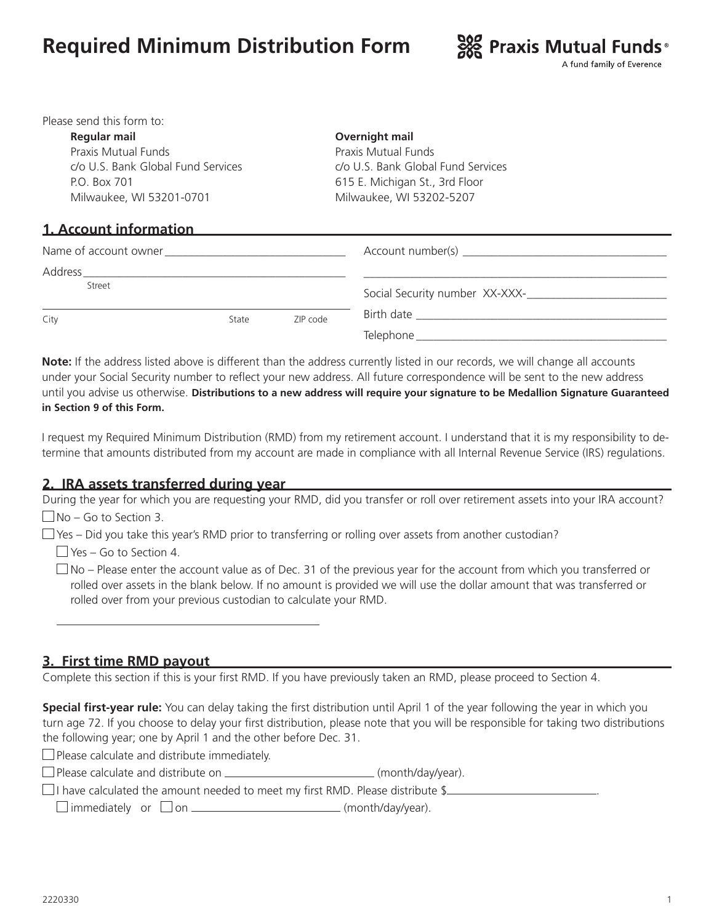# **Required Minimum Distribution Form**



Birth date \_\_\_\_\_\_\_\_\_\_\_\_\_\_\_\_\_\_\_\_\_\_\_\_\_\_\_\_\_\_\_\_\_\_\_\_\_\_\_\_\_\_\_ Telephone \_\_\_\_\_\_\_\_\_\_\_\_\_\_\_\_\_\_\_\_\_\_\_\_\_\_\_\_\_\_\_\_\_\_\_\_\_\_\_\_\_\_\_

| Please send this form to.                                                                                                                                                                                                      |                                    |  |  |  |
|--------------------------------------------------------------------------------------------------------------------------------------------------------------------------------------------------------------------------------|------------------------------------|--|--|--|
| Regular mail                                                                                                                                                                                                                   | Overnight mail                     |  |  |  |
| Praxis Mutual Funds                                                                                                                                                                                                            | Praxis Mutual Funds                |  |  |  |
| c/o U.S. Bank Global Fund Services                                                                                                                                                                                             | c/o U.S. Bank Global Fund Services |  |  |  |
| P.O. Box 701                                                                                                                                                                                                                   | 615 E. Michigan St., 3rd Floor     |  |  |  |
| Milwaukee, WI 53201-0701                                                                                                                                                                                                       | Milwaukee, WI 53202-5207           |  |  |  |
|                                                                                                                                                                                                                                |                                    |  |  |  |
| <b>1. Account information</b>                                                                                                                                                                                                  |                                    |  |  |  |
| Name of account owner contained the state of a second state of a state of a state of a state of a state of a state of a state of a state of a state of a state of a state of a state of a state of a state of a state of a sta |                                    |  |  |  |
|                                                                                                                                                                                                                                |                                    |  |  |  |
| Street                                                                                                                                                                                                                         | Social Security number XX-XXX-     |  |  |  |

**Note:** If the address listed above is different than the address currently listed in our records, we will change all accounts under your Social Security number to reflect your new address. All future correspondence will be sent to the new address until you advise us otherwise. **Distributions to a new address will require your signature to be Medallion Signature Guaranteed in Section 9 of this Form.**

I request my Required Minimum Distribution (RMD) from my retirement account. I understand that it is my responsibility to determine that amounts distributed from my account are made in compliance with all Internal Revenue Service (IRS) regulations.

## **2. IRA assets transferred during year**

City **State** ZIP code

|                              | During the year for which you are requesting your RMD, did you transfer or roll over retirement assets into your IRA account? |  |
|------------------------------|-------------------------------------------------------------------------------------------------------------------------------|--|
| $\Box$ No – Go to Section 3. |                                                                                                                               |  |

 $\Box$  Yes – Did you take this year's RMD prior to transferring or rolling over assets from another custodian?

 $\Box$  Yes – Go to Section 4.

Please send this form to:

| $\Box$ No – Please enter the account value as of Dec. 31 of the previous year for the account from which you transferred or |  |
|-----------------------------------------------------------------------------------------------------------------------------|--|
| rolled over assets in the blank below. If no amount is provided we will use the dollar amount that was transferred or       |  |
| rolled over from your previous custodian to calculate your RMD.                                                             |  |

### **3. First time RMD payout**

Complete this section if this is your first RMD. If you have previously taken an RMD, please proceed to Section 4.

**Special first-year rule:** You can delay taking the first distribution until April 1 of the year following the year in which you turn age 72. If you choose to delay your first distribution, please note that you will be responsible for taking two distributions the following year; one by April 1 and the other before Dec. 31.

 $\Box$  Please calculate and distribute immediately.

□ Please calculate and distribute on \_\_\_\_\_\_\_\_\_\_\_\_\_\_\_\_\_\_\_\_\_\_\_\_\_\_\_\_(month/day/year).

 $\Box$  I have calculated the amount needed to meet my first RMD. Please distribute \$

 $\Box$  immediately or  $\Box$  on  $\Box$   $\Box$   $\Box$  (month/day/year).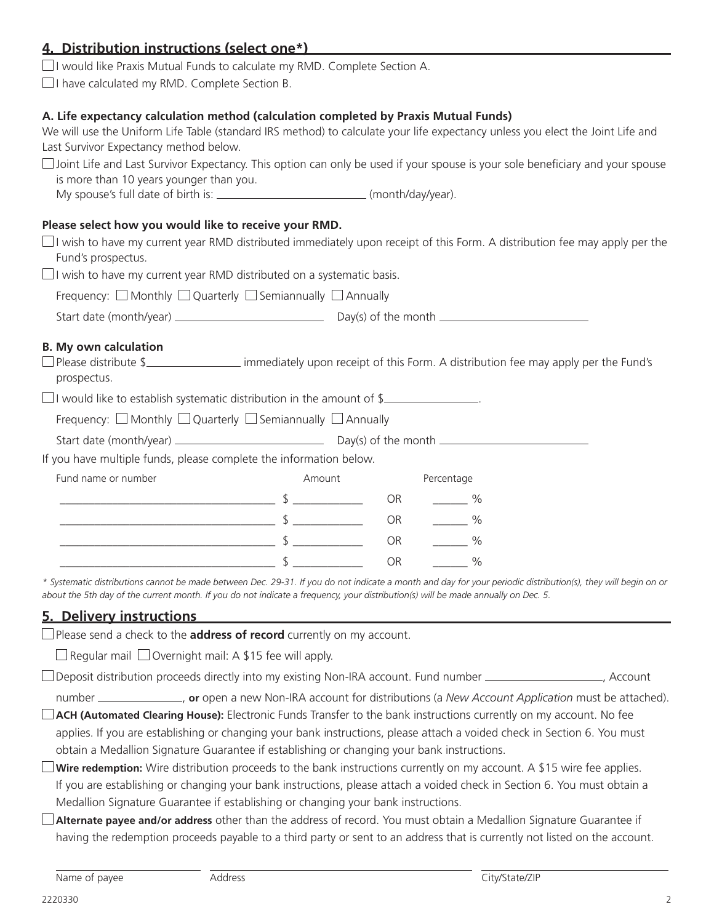| □ I would like Praxis Mutual Funds to calculate my RMD. Complete Section A.<br>$\Box$ I have calculated my RMD. Complete Section B.<br>A. Life expectancy calculation method (calculation completed by Praxis Mutual Funds)<br>We will use the Uniform Life Table (standard IRS method) to calculate your life expectancy unless you elect the Joint Life and<br>Last Survivor Expectancy method below.<br>□ Joint Life and Last Survivor Expectancy. This option can only be used if your spouse is your sole beneficiary and your spouse<br>is more than 10 years younger than you.<br>My spouse's full date of birth is: _______________________________(month/day/year).<br>Please select how you would like to receive your RMD.<br>$\Box$ I wish to have my current year RMD distributed immediately upon receipt of this Form. A distribution fee may apply per the<br>Fund's prospectus.<br>$\Box$ I wish to have my current year RMD distributed on a systematic basis.<br>Frequency: $\Box$ Monthly $\Box$ Quarterly $\Box$ Semiannually $\Box$ Annually<br><b>B.</b> My own calculation<br>$\Box$ Please distribute \$______________________ immediately upon receipt of this Form. A distribution fee may apply per the Fund's<br>prospectus.<br>$\Box$ I would like to establish systematic distribution in the amount of \$<br>Frequency: $\Box$ Monthly $\Box$ Quarterly $\Box$ Semiannually $\Box$ Annually<br>If you have multiple funds, please complete the information below.<br>Fund name or number<br>Amount<br>Percentage<br><b>OR</b><br>$\%$<br>OR _________ %<br>OR %<br>OR<br>$\sim$ $\sim$ $\sim$ $\sim$<br>* Systematic distributions cannot be made between Dec. 29-31. If you do not indicate a month and day for your periodic distribution(s), they will begin on or<br>about the 5th day of the current month. If you do not indicate a frequency, your distribution(s) will be made annually on Dec. 5.<br><u>5. Delivery instructions</u><br>$\Box$ Please send a check to the <b>address of record</b> currently on my account.<br>Regular mail $\Box$ Overnight mail: A \$15 fee will apply.<br>□ Deposit distribution proceeds directly into my existing Non-IRA account. Fund number ______________________, Account<br>number _______________, or open a new Non-IRA account for distributions (a New Account Application must be attached).<br>ACH (Automated Clearing House): Electronic Funds Transfer to the bank instructions currently on my account. No fee<br>applies. If you are establishing or changing your bank instructions, please attach a voided check in Section 6. You must<br>obtain a Medallion Signature Guarantee if establishing or changing your bank instructions.<br>Wire redemption: Wire distribution proceeds to the bank instructions currently on my account. A \$15 wire fee applies.<br>If you are establishing or changing your bank instructions, please attach a voided check in Section 6. You must obtain a<br>Medallion Signature Guarantee if establishing or changing your bank instructions.<br>Alternate payee and/or address other than the address of record. You must obtain a Medallion Signature Guarantee if<br>having the redemption proceeds payable to a third party or sent to an address that is currently not listed on the account. | 4. Distribution instructions (select one*) |  |  |
|---------------------------------------------------------------------------------------------------------------------------------------------------------------------------------------------------------------------------------------------------------------------------------------------------------------------------------------------------------------------------------------------------------------------------------------------------------------------------------------------------------------------------------------------------------------------------------------------------------------------------------------------------------------------------------------------------------------------------------------------------------------------------------------------------------------------------------------------------------------------------------------------------------------------------------------------------------------------------------------------------------------------------------------------------------------------------------------------------------------------------------------------------------------------------------------------------------------------------------------------------------------------------------------------------------------------------------------------------------------------------------------------------------------------------------------------------------------------------------------------------------------------------------------------------------------------------------------------------------------------------------------------------------------------------------------------------------------------------------------------------------------------------------------------------------------------------------------------------------------------------------------------------------------------------------------------------------------------------------------------------------------------------------------------------------------------------------------------------------------------------------------------------------------------------------------------------------------------------------------------------------------------------------------------------------------------------------------------------------------------------------------------------------------------------------------------------------------------------------------------------------------------------------------------------------------------------------------------------------------------------------------------------------------------------------------------------------------------------------------------------------------------------------------------------------------------------------------------------------------------------------------------------------------------------------------------------------------------------------------------------------------------------------------------------------------------------------------------------------------------------------------------------------------------------------------------------------------------------------------------------------------------------------------------------------------------------------------|--------------------------------------------|--|--|
|                                                                                                                                                                                                                                                                                                                                                                                                                                                                                                                                                                                                                                                                                                                                                                                                                                                                                                                                                                                                                                                                                                                                                                                                                                                                                                                                                                                                                                                                                                                                                                                                                                                                                                                                                                                                                                                                                                                                                                                                                                                                                                                                                                                                                                                                                                                                                                                                                                                                                                                                                                                                                                                                                                                                                                                                                                                                                                                                                                                                                                                                                                                                                                                                                                                                                                                                       |                                            |  |  |
|                                                                                                                                                                                                                                                                                                                                                                                                                                                                                                                                                                                                                                                                                                                                                                                                                                                                                                                                                                                                                                                                                                                                                                                                                                                                                                                                                                                                                                                                                                                                                                                                                                                                                                                                                                                                                                                                                                                                                                                                                                                                                                                                                                                                                                                                                                                                                                                                                                                                                                                                                                                                                                                                                                                                                                                                                                                                                                                                                                                                                                                                                                                                                                                                                                                                                                                                       |                                            |  |  |
|                                                                                                                                                                                                                                                                                                                                                                                                                                                                                                                                                                                                                                                                                                                                                                                                                                                                                                                                                                                                                                                                                                                                                                                                                                                                                                                                                                                                                                                                                                                                                                                                                                                                                                                                                                                                                                                                                                                                                                                                                                                                                                                                                                                                                                                                                                                                                                                                                                                                                                                                                                                                                                                                                                                                                                                                                                                                                                                                                                                                                                                                                                                                                                                                                                                                                                                                       |                                            |  |  |
|                                                                                                                                                                                                                                                                                                                                                                                                                                                                                                                                                                                                                                                                                                                                                                                                                                                                                                                                                                                                                                                                                                                                                                                                                                                                                                                                                                                                                                                                                                                                                                                                                                                                                                                                                                                                                                                                                                                                                                                                                                                                                                                                                                                                                                                                                                                                                                                                                                                                                                                                                                                                                                                                                                                                                                                                                                                                                                                                                                                                                                                                                                                                                                                                                                                                                                                                       |                                            |  |  |
|                                                                                                                                                                                                                                                                                                                                                                                                                                                                                                                                                                                                                                                                                                                                                                                                                                                                                                                                                                                                                                                                                                                                                                                                                                                                                                                                                                                                                                                                                                                                                                                                                                                                                                                                                                                                                                                                                                                                                                                                                                                                                                                                                                                                                                                                                                                                                                                                                                                                                                                                                                                                                                                                                                                                                                                                                                                                                                                                                                                                                                                                                                                                                                                                                                                                                                                                       |                                            |  |  |
|                                                                                                                                                                                                                                                                                                                                                                                                                                                                                                                                                                                                                                                                                                                                                                                                                                                                                                                                                                                                                                                                                                                                                                                                                                                                                                                                                                                                                                                                                                                                                                                                                                                                                                                                                                                                                                                                                                                                                                                                                                                                                                                                                                                                                                                                                                                                                                                                                                                                                                                                                                                                                                                                                                                                                                                                                                                                                                                                                                                                                                                                                                                                                                                                                                                                                                                                       |                                            |  |  |
|                                                                                                                                                                                                                                                                                                                                                                                                                                                                                                                                                                                                                                                                                                                                                                                                                                                                                                                                                                                                                                                                                                                                                                                                                                                                                                                                                                                                                                                                                                                                                                                                                                                                                                                                                                                                                                                                                                                                                                                                                                                                                                                                                                                                                                                                                                                                                                                                                                                                                                                                                                                                                                                                                                                                                                                                                                                                                                                                                                                                                                                                                                                                                                                                                                                                                                                                       |                                            |  |  |
|                                                                                                                                                                                                                                                                                                                                                                                                                                                                                                                                                                                                                                                                                                                                                                                                                                                                                                                                                                                                                                                                                                                                                                                                                                                                                                                                                                                                                                                                                                                                                                                                                                                                                                                                                                                                                                                                                                                                                                                                                                                                                                                                                                                                                                                                                                                                                                                                                                                                                                                                                                                                                                                                                                                                                                                                                                                                                                                                                                                                                                                                                                                                                                                                                                                                                                                                       |                                            |  |  |
|                                                                                                                                                                                                                                                                                                                                                                                                                                                                                                                                                                                                                                                                                                                                                                                                                                                                                                                                                                                                                                                                                                                                                                                                                                                                                                                                                                                                                                                                                                                                                                                                                                                                                                                                                                                                                                                                                                                                                                                                                                                                                                                                                                                                                                                                                                                                                                                                                                                                                                                                                                                                                                                                                                                                                                                                                                                                                                                                                                                                                                                                                                                                                                                                                                                                                                                                       |                                            |  |  |
|                                                                                                                                                                                                                                                                                                                                                                                                                                                                                                                                                                                                                                                                                                                                                                                                                                                                                                                                                                                                                                                                                                                                                                                                                                                                                                                                                                                                                                                                                                                                                                                                                                                                                                                                                                                                                                                                                                                                                                                                                                                                                                                                                                                                                                                                                                                                                                                                                                                                                                                                                                                                                                                                                                                                                                                                                                                                                                                                                                                                                                                                                                                                                                                                                                                                                                                                       |                                            |  |  |
|                                                                                                                                                                                                                                                                                                                                                                                                                                                                                                                                                                                                                                                                                                                                                                                                                                                                                                                                                                                                                                                                                                                                                                                                                                                                                                                                                                                                                                                                                                                                                                                                                                                                                                                                                                                                                                                                                                                                                                                                                                                                                                                                                                                                                                                                                                                                                                                                                                                                                                                                                                                                                                                                                                                                                                                                                                                                                                                                                                                                                                                                                                                                                                                                                                                                                                                                       |                                            |  |  |
|                                                                                                                                                                                                                                                                                                                                                                                                                                                                                                                                                                                                                                                                                                                                                                                                                                                                                                                                                                                                                                                                                                                                                                                                                                                                                                                                                                                                                                                                                                                                                                                                                                                                                                                                                                                                                                                                                                                                                                                                                                                                                                                                                                                                                                                                                                                                                                                                                                                                                                                                                                                                                                                                                                                                                                                                                                                                                                                                                                                                                                                                                                                                                                                                                                                                                                                                       |                                            |  |  |
|                                                                                                                                                                                                                                                                                                                                                                                                                                                                                                                                                                                                                                                                                                                                                                                                                                                                                                                                                                                                                                                                                                                                                                                                                                                                                                                                                                                                                                                                                                                                                                                                                                                                                                                                                                                                                                                                                                                                                                                                                                                                                                                                                                                                                                                                                                                                                                                                                                                                                                                                                                                                                                                                                                                                                                                                                                                                                                                                                                                                                                                                                                                                                                                                                                                                                                                                       |                                            |  |  |
|                                                                                                                                                                                                                                                                                                                                                                                                                                                                                                                                                                                                                                                                                                                                                                                                                                                                                                                                                                                                                                                                                                                                                                                                                                                                                                                                                                                                                                                                                                                                                                                                                                                                                                                                                                                                                                                                                                                                                                                                                                                                                                                                                                                                                                                                                                                                                                                                                                                                                                                                                                                                                                                                                                                                                                                                                                                                                                                                                                                                                                                                                                                                                                                                                                                                                                                                       |                                            |  |  |
|                                                                                                                                                                                                                                                                                                                                                                                                                                                                                                                                                                                                                                                                                                                                                                                                                                                                                                                                                                                                                                                                                                                                                                                                                                                                                                                                                                                                                                                                                                                                                                                                                                                                                                                                                                                                                                                                                                                                                                                                                                                                                                                                                                                                                                                                                                                                                                                                                                                                                                                                                                                                                                                                                                                                                                                                                                                                                                                                                                                                                                                                                                                                                                                                                                                                                                                                       |                                            |  |  |
|                                                                                                                                                                                                                                                                                                                                                                                                                                                                                                                                                                                                                                                                                                                                                                                                                                                                                                                                                                                                                                                                                                                                                                                                                                                                                                                                                                                                                                                                                                                                                                                                                                                                                                                                                                                                                                                                                                                                                                                                                                                                                                                                                                                                                                                                                                                                                                                                                                                                                                                                                                                                                                                                                                                                                                                                                                                                                                                                                                                                                                                                                                                                                                                                                                                                                                                                       |                                            |  |  |
|                                                                                                                                                                                                                                                                                                                                                                                                                                                                                                                                                                                                                                                                                                                                                                                                                                                                                                                                                                                                                                                                                                                                                                                                                                                                                                                                                                                                                                                                                                                                                                                                                                                                                                                                                                                                                                                                                                                                                                                                                                                                                                                                                                                                                                                                                                                                                                                                                                                                                                                                                                                                                                                                                                                                                                                                                                                                                                                                                                                                                                                                                                                                                                                                                                                                                                                                       |                                            |  |  |
|                                                                                                                                                                                                                                                                                                                                                                                                                                                                                                                                                                                                                                                                                                                                                                                                                                                                                                                                                                                                                                                                                                                                                                                                                                                                                                                                                                                                                                                                                                                                                                                                                                                                                                                                                                                                                                                                                                                                                                                                                                                                                                                                                                                                                                                                                                                                                                                                                                                                                                                                                                                                                                                                                                                                                                                                                                                                                                                                                                                                                                                                                                                                                                                                                                                                                                                                       |                                            |  |  |
|                                                                                                                                                                                                                                                                                                                                                                                                                                                                                                                                                                                                                                                                                                                                                                                                                                                                                                                                                                                                                                                                                                                                                                                                                                                                                                                                                                                                                                                                                                                                                                                                                                                                                                                                                                                                                                                                                                                                                                                                                                                                                                                                                                                                                                                                                                                                                                                                                                                                                                                                                                                                                                                                                                                                                                                                                                                                                                                                                                                                                                                                                                                                                                                                                                                                                                                                       |                                            |  |  |
|                                                                                                                                                                                                                                                                                                                                                                                                                                                                                                                                                                                                                                                                                                                                                                                                                                                                                                                                                                                                                                                                                                                                                                                                                                                                                                                                                                                                                                                                                                                                                                                                                                                                                                                                                                                                                                                                                                                                                                                                                                                                                                                                                                                                                                                                                                                                                                                                                                                                                                                                                                                                                                                                                                                                                                                                                                                                                                                                                                                                                                                                                                                                                                                                                                                                                                                                       |                                            |  |  |
|                                                                                                                                                                                                                                                                                                                                                                                                                                                                                                                                                                                                                                                                                                                                                                                                                                                                                                                                                                                                                                                                                                                                                                                                                                                                                                                                                                                                                                                                                                                                                                                                                                                                                                                                                                                                                                                                                                                                                                                                                                                                                                                                                                                                                                                                                                                                                                                                                                                                                                                                                                                                                                                                                                                                                                                                                                                                                                                                                                                                                                                                                                                                                                                                                                                                                                                                       |                                            |  |  |
|                                                                                                                                                                                                                                                                                                                                                                                                                                                                                                                                                                                                                                                                                                                                                                                                                                                                                                                                                                                                                                                                                                                                                                                                                                                                                                                                                                                                                                                                                                                                                                                                                                                                                                                                                                                                                                                                                                                                                                                                                                                                                                                                                                                                                                                                                                                                                                                                                                                                                                                                                                                                                                                                                                                                                                                                                                                                                                                                                                                                                                                                                                                                                                                                                                                                                                                                       |                                            |  |  |
|                                                                                                                                                                                                                                                                                                                                                                                                                                                                                                                                                                                                                                                                                                                                                                                                                                                                                                                                                                                                                                                                                                                                                                                                                                                                                                                                                                                                                                                                                                                                                                                                                                                                                                                                                                                                                                                                                                                                                                                                                                                                                                                                                                                                                                                                                                                                                                                                                                                                                                                                                                                                                                                                                                                                                                                                                                                                                                                                                                                                                                                                                                                                                                                                                                                                                                                                       |                                            |  |  |
|                                                                                                                                                                                                                                                                                                                                                                                                                                                                                                                                                                                                                                                                                                                                                                                                                                                                                                                                                                                                                                                                                                                                                                                                                                                                                                                                                                                                                                                                                                                                                                                                                                                                                                                                                                                                                                                                                                                                                                                                                                                                                                                                                                                                                                                                                                                                                                                                                                                                                                                                                                                                                                                                                                                                                                                                                                                                                                                                                                                                                                                                                                                                                                                                                                                                                                                                       |                                            |  |  |
|                                                                                                                                                                                                                                                                                                                                                                                                                                                                                                                                                                                                                                                                                                                                                                                                                                                                                                                                                                                                                                                                                                                                                                                                                                                                                                                                                                                                                                                                                                                                                                                                                                                                                                                                                                                                                                                                                                                                                                                                                                                                                                                                                                                                                                                                                                                                                                                                                                                                                                                                                                                                                                                                                                                                                                                                                                                                                                                                                                                                                                                                                                                                                                                                                                                                                                                                       |                                            |  |  |
|                                                                                                                                                                                                                                                                                                                                                                                                                                                                                                                                                                                                                                                                                                                                                                                                                                                                                                                                                                                                                                                                                                                                                                                                                                                                                                                                                                                                                                                                                                                                                                                                                                                                                                                                                                                                                                                                                                                                                                                                                                                                                                                                                                                                                                                                                                                                                                                                                                                                                                                                                                                                                                                                                                                                                                                                                                                                                                                                                                                                                                                                                                                                                                                                                                                                                                                                       |                                            |  |  |
|                                                                                                                                                                                                                                                                                                                                                                                                                                                                                                                                                                                                                                                                                                                                                                                                                                                                                                                                                                                                                                                                                                                                                                                                                                                                                                                                                                                                                                                                                                                                                                                                                                                                                                                                                                                                                                                                                                                                                                                                                                                                                                                                                                                                                                                                                                                                                                                                                                                                                                                                                                                                                                                                                                                                                                                                                                                                                                                                                                                                                                                                                                                                                                                                                                                                                                                                       |                                            |  |  |
|                                                                                                                                                                                                                                                                                                                                                                                                                                                                                                                                                                                                                                                                                                                                                                                                                                                                                                                                                                                                                                                                                                                                                                                                                                                                                                                                                                                                                                                                                                                                                                                                                                                                                                                                                                                                                                                                                                                                                                                                                                                                                                                                                                                                                                                                                                                                                                                                                                                                                                                                                                                                                                                                                                                                                                                                                                                                                                                                                                                                                                                                                                                                                                                                                                                                                                                                       |                                            |  |  |
|                                                                                                                                                                                                                                                                                                                                                                                                                                                                                                                                                                                                                                                                                                                                                                                                                                                                                                                                                                                                                                                                                                                                                                                                                                                                                                                                                                                                                                                                                                                                                                                                                                                                                                                                                                                                                                                                                                                                                                                                                                                                                                                                                                                                                                                                                                                                                                                                                                                                                                                                                                                                                                                                                                                                                                                                                                                                                                                                                                                                                                                                                                                                                                                                                                                                                                                                       |                                            |  |  |
|                                                                                                                                                                                                                                                                                                                                                                                                                                                                                                                                                                                                                                                                                                                                                                                                                                                                                                                                                                                                                                                                                                                                                                                                                                                                                                                                                                                                                                                                                                                                                                                                                                                                                                                                                                                                                                                                                                                                                                                                                                                                                                                                                                                                                                                                                                                                                                                                                                                                                                                                                                                                                                                                                                                                                                                                                                                                                                                                                                                                                                                                                                                                                                                                                                                                                                                                       |                                            |  |  |
|                                                                                                                                                                                                                                                                                                                                                                                                                                                                                                                                                                                                                                                                                                                                                                                                                                                                                                                                                                                                                                                                                                                                                                                                                                                                                                                                                                                                                                                                                                                                                                                                                                                                                                                                                                                                                                                                                                                                                                                                                                                                                                                                                                                                                                                                                                                                                                                                                                                                                                                                                                                                                                                                                                                                                                                                                                                                                                                                                                                                                                                                                                                                                                                                                                                                                                                                       |                                            |  |  |
|                                                                                                                                                                                                                                                                                                                                                                                                                                                                                                                                                                                                                                                                                                                                                                                                                                                                                                                                                                                                                                                                                                                                                                                                                                                                                                                                                                                                                                                                                                                                                                                                                                                                                                                                                                                                                                                                                                                                                                                                                                                                                                                                                                                                                                                                                                                                                                                                                                                                                                                                                                                                                                                                                                                                                                                                                                                                                                                                                                                                                                                                                                                                                                                                                                                                                                                                       |                                            |  |  |
|                                                                                                                                                                                                                                                                                                                                                                                                                                                                                                                                                                                                                                                                                                                                                                                                                                                                                                                                                                                                                                                                                                                                                                                                                                                                                                                                                                                                                                                                                                                                                                                                                                                                                                                                                                                                                                                                                                                                                                                                                                                                                                                                                                                                                                                                                                                                                                                                                                                                                                                                                                                                                                                                                                                                                                                                                                                                                                                                                                                                                                                                                                                                                                                                                                                                                                                                       |                                            |  |  |
|                                                                                                                                                                                                                                                                                                                                                                                                                                                                                                                                                                                                                                                                                                                                                                                                                                                                                                                                                                                                                                                                                                                                                                                                                                                                                                                                                                                                                                                                                                                                                                                                                                                                                                                                                                                                                                                                                                                                                                                                                                                                                                                                                                                                                                                                                                                                                                                                                                                                                                                                                                                                                                                                                                                                                                                                                                                                                                                                                                                                                                                                                                                                                                                                                                                                                                                                       |                                            |  |  |
|                                                                                                                                                                                                                                                                                                                                                                                                                                                                                                                                                                                                                                                                                                                                                                                                                                                                                                                                                                                                                                                                                                                                                                                                                                                                                                                                                                                                                                                                                                                                                                                                                                                                                                                                                                                                                                                                                                                                                                                                                                                                                                                                                                                                                                                                                                                                                                                                                                                                                                                                                                                                                                                                                                                                                                                                                                                                                                                                                                                                                                                                                                                                                                                                                                                                                                                                       |                                            |  |  |
|                                                                                                                                                                                                                                                                                                                                                                                                                                                                                                                                                                                                                                                                                                                                                                                                                                                                                                                                                                                                                                                                                                                                                                                                                                                                                                                                                                                                                                                                                                                                                                                                                                                                                                                                                                                                                                                                                                                                                                                                                                                                                                                                                                                                                                                                                                                                                                                                                                                                                                                                                                                                                                                                                                                                                                                                                                                                                                                                                                                                                                                                                                                                                                                                                                                                                                                                       |                                            |  |  |
|                                                                                                                                                                                                                                                                                                                                                                                                                                                                                                                                                                                                                                                                                                                                                                                                                                                                                                                                                                                                                                                                                                                                                                                                                                                                                                                                                                                                                                                                                                                                                                                                                                                                                                                                                                                                                                                                                                                                                                                                                                                                                                                                                                                                                                                                                                                                                                                                                                                                                                                                                                                                                                                                                                                                                                                                                                                                                                                                                                                                                                                                                                                                                                                                                                                                                                                                       |                                            |  |  |
|                                                                                                                                                                                                                                                                                                                                                                                                                                                                                                                                                                                                                                                                                                                                                                                                                                                                                                                                                                                                                                                                                                                                                                                                                                                                                                                                                                                                                                                                                                                                                                                                                                                                                                                                                                                                                                                                                                                                                                                                                                                                                                                                                                                                                                                                                                                                                                                                                                                                                                                                                                                                                                                                                                                                                                                                                                                                                                                                                                                                                                                                                                                                                                                                                                                                                                                                       |                                            |  |  |
|                                                                                                                                                                                                                                                                                                                                                                                                                                                                                                                                                                                                                                                                                                                                                                                                                                                                                                                                                                                                                                                                                                                                                                                                                                                                                                                                                                                                                                                                                                                                                                                                                                                                                                                                                                                                                                                                                                                                                                                                                                                                                                                                                                                                                                                                                                                                                                                                                                                                                                                                                                                                                                                                                                                                                                                                                                                                                                                                                                                                                                                                                                                                                                                                                                                                                                                                       |                                            |  |  |
|                                                                                                                                                                                                                                                                                                                                                                                                                                                                                                                                                                                                                                                                                                                                                                                                                                                                                                                                                                                                                                                                                                                                                                                                                                                                                                                                                                                                                                                                                                                                                                                                                                                                                                                                                                                                                                                                                                                                                                                                                                                                                                                                                                                                                                                                                                                                                                                                                                                                                                                                                                                                                                                                                                                                                                                                                                                                                                                                                                                                                                                                                                                                                                                                                                                                                                                                       |                                            |  |  |
|                                                                                                                                                                                                                                                                                                                                                                                                                                                                                                                                                                                                                                                                                                                                                                                                                                                                                                                                                                                                                                                                                                                                                                                                                                                                                                                                                                                                                                                                                                                                                                                                                                                                                                                                                                                                                                                                                                                                                                                                                                                                                                                                                                                                                                                                                                                                                                                                                                                                                                                                                                                                                                                                                                                                                                                                                                                                                                                                                                                                                                                                                                                                                                                                                                                                                                                                       |                                            |  |  |

Name of payee Address Address and Address and Address and Address and Address and Address and Address and Address and Address and Address and Address and Address and Address and Address and Address and Address and Address